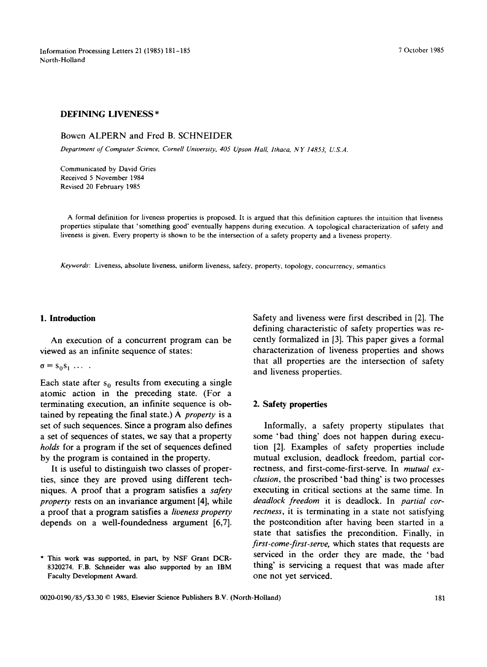Information Processing Letters 21 (1985) 181-185 7 October 1985 North-Holland

# **DEFINING LIVENESS \***

# Bowen ALPERN and Fred B. SCHNEIDER

*Department of Computer Science, Cornell University, 405 Upson Hall, Ithaca, NY 14853, U.S.A.* 

Communicated by David Gries Received 5 November 1984 Revised 20 February 1985

A formal definition for liveness properties is proposed. It is argued that this definition captures the intuition that liveness properties stipulate that 'something good' eventually happens during execution. A topological characterization of safety and liveness is given. Every property is shown to be the intersection of a safety property and a liveness property.

*Keywords:* Liveness, absolute liveness, uniform liveness, safety, property, topology, concurrency, semantics

# **I. Introduction**

An execution of a concurrent program can be viewed as an infinite sequence of states:

### $\sigma = s_0 s_1 \ldots$ .

Each state after  $s_0$  results from executing a single atomic action in the preceding state. (For a terminating execution, an infinite sequence is obtained by repeating the final state.) A *property* is a set of such sequences. Since a program also defines a set of sequences of states, we say that a property *holds* for a program if the set of sequences defined by the program is contained in the property.

It is useful to distinguish two classes of properties, since they are proved using different techniques. A proof that a program satisfies a *safety property* rests on an invariance argument [4], while a proof that a program satisfies a *liveness property*  depends on a well-foundedness argument [6,7]. Safety and liveness were first described in [2]. The defining characteristic of safety properties was recently formalized in [3]. This paper gives a formal characterization of liveness properties and shows that all properties are the intersection of safety and liveness properties.

## **2. Safety properties**

Informally, a safety property stipulates that some 'bad thing' does not happen during execution [2]. Examples of safety properties include mutual exclusion, deadlock freedom, partial correctness, and first-come-first-serve. In *mutual exclusion,* the proscribed 'bad thing' is two processes executing in critical sections at the same time. In *deadlock freedom* it is deadlock. In *partial correctness,* it is terminating in a state not satisfying the postcondition after having been started in a state that satisfies the precondition. Finally, in *first-come-first-serve,* which states that requests are serviced in the order they are made, the 'bad thing' is servicing a request that was made after one not yet serviced.

<sup>\*</sup> This work was supported, in part, by NSF Grant DCR-8320274. F.B. Schneider was also supported by an IBM Faculty Development Award.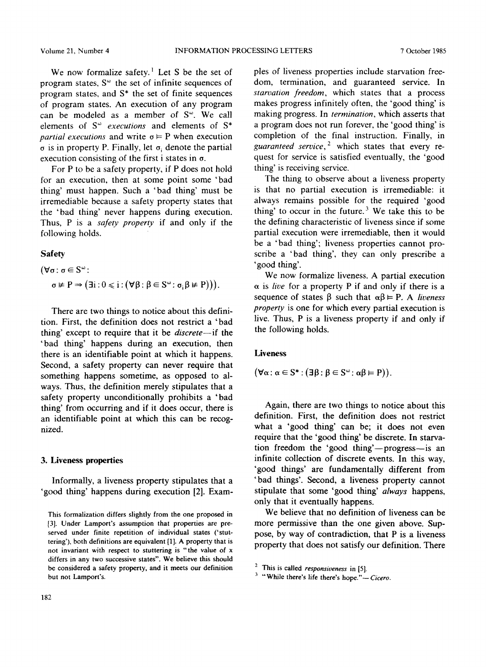We now formalize safety.<sup> $1$ </sup> Let S be the set of program states,  $S^{\omega}$  the set of infinite sequences of program states, and S\* the set of finite sequences of program states. An execution of any program can be modeled as a member of  $S<sup>\omega</sup>$ . We call elements of S<sup>®</sup> executions and elements of S<sup>\*</sup> *partial executions* and write  $\sigma \models P$  when execution  $\sigma$  is in property P. Finally, let  $\sigma_i$  denote the partial execution consisting of the first i states in  $\sigma$ .

For P to be a safety property, if P does not hold for an execution, then at some point some 'bad thing' must happen. Such a 'bad thing' must be irremediable because a safety property states that the 'bad thing' never happens during execution. Thus, P is a *safety property* if and only if the following holds.

## Safety

$$
(\forall \sigma : \sigma \in S^{\omega} : \n\sigma \nvDash P \Rightarrow (\exists i : 0 \leq i : (\forall \beta : \beta \in S^{\omega} : \sigma_i \beta \nvDash P))).
$$

There are two things to notice about this definition. First, the definition does not restrict a 'bad thing' except to require that it be *discrete--if* the 'bad thing' happens during an execution, then there is an identifiable point at which it happens. Second, a safety property can never require that something happens sometime, as opposed to always. Thus, the definition merely stipulates that a safety property unconditionally prohibits a 'bad thing' from occurring and if it does occur, there is an identifiable point at which this can be recognized.

### **3. Liveness properties**

Informally, a liveness property stipulates that a 'good thing' happens during execution [2]. Exampies of liveness properties include starvation freedom, termination, and guaranteed service. In *starvation freedom,* which states that a process makes progress infinitely often, the 'good thing' is making progress. In *termination,* which asserts that a program does not run forever, the 'good thing' is completion of the final instruction. Finally, in *guaranteed service,* 2 which states that every request for service is satisfied eventually, the 'good thing' is receiving service.

The thing to observe about a liveness property is that no partial execution is irremediable: it always remains possible for the required 'good thing' to occur in the future.<sup>3</sup> We take this to be the defining characteristic of liveness since if some partial execution were irremediable, then it would be a 'bad thing'; liveness properties cannot proscribe a 'bad thing', they can only prescribe a 'good thing'.

We now formalize liveness. A partial execution  $\alpha$  is *live* for a property P if and only if there is a sequence of states  $\beta$  such that  $\alpha\beta \vDash P$ . A *liveness property* is one for which every partial execution is live. Thus, P is a liveness property if and only if the following holds.

#### **Liveness**

$$
(\forall \alpha : \alpha \in S^* : (\exists \beta : \beta \in S^{\omega} : \alpha \beta \models P)).
$$

Again, there are two things to notice about this definition. First, the definition does not restrict what a 'good thing' can be; it does not even require that the 'good thing' be discrete. In starvation freedom the 'good thing'--progress--is an infinite collection of discrete events. In this way, 'good things' are fundamentally different from 'bad things'. Second, a liveness property cannot stipulate that some 'good thing' *always* happens, only that it eventually happens.

We believe that no definition of liveness can be more permissive than the one given above. Suppose, by way of contradiction, that P is a liveness property that does not satisfy our definition. There

This formalization differs slightly from the one proposed in [3]. Under Lamport's assumption that properties are preserved under finite repetition of individual states ('stuttering'), both definitions are equivalent [1]. A property that is not invariant with respect to stuttering is "the value of x differs in any two successive states". We believe this should be considered a safety property, and it meets our definition but not Lamport's.

<sup>2</sup> This is called *responsiveness* in [5].

 $3$  "While there's life there's hope."- Cicero.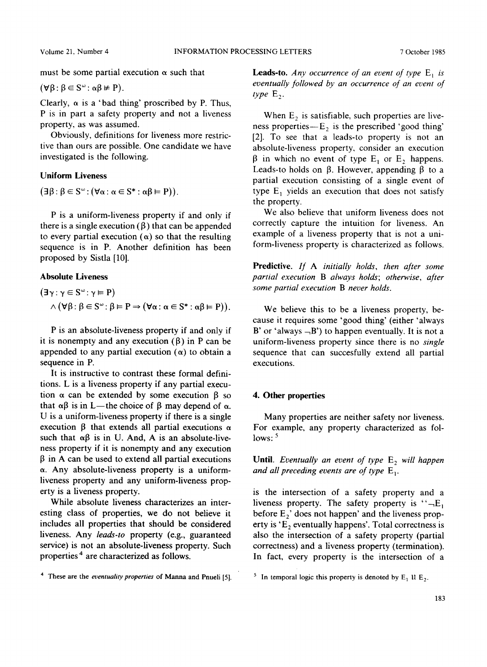must be some partial execution  $\alpha$  such that

 $(\forall \beta : \beta \in S^{\omega} : \alpha \beta \neq P).$ 

Clearly,  $\alpha$  is a 'bad thing' proscribed by P. Thus, P is in part a safety property and not a liveness property, as was assumed.

Obviously, definitions for liveness more restrictive than ours are possible. One candidate we have investigated is the following.

## **Uniform Liveness**

 $(\exists \beta : \beta \in S^{\omega} : (\forall \alpha : \alpha \in S^* : \alpha \beta \models P)).$ 

P is a uniform-liveness property if and only if there is a single execution  $(\beta)$  that can be appended to every partial execution  $(\alpha)$  so that the resulting sequence is in P. Another definition has been proposed by Sistla [10].

# **Absolute Liveness**

$$
(\exists \gamma : \gamma \in S^{\omega} : \gamma \models P)
$$
  
 
$$
\wedge (\forall \beta : \beta \in S^{\omega} : \beta \models P \Rightarrow (\forall \alpha : \alpha \in S^* : \alpha \beta \models P)).
$$

P is an absolute-liveness property if and only if it is nonempty and any execution  $(\beta)$  in P can be appended to any partial execution  $(\alpha)$  to obtain a sequence in P.

It is instructive to contrast these formal definitions. L is a liveness property if any partial execution  $\alpha$  can be extended by some execution  $\beta$  so that  $\alpha\beta$  is in L—the choice of  $\beta$  may depend of  $\alpha$ . U is a uniform-liveness property if there is a single execution  $\beta$  that extends all partial executions  $\alpha$ such that  $\alpha\beta$  is in U. And, A is an absolute-liveness property if it is nonempty and any execution  $\beta$  in A can be used to extend all partial executions a. Any absolute-liveness property is a uniformliveness property and any uniform-liveness property is a liveness property.

While absolute liveness characterizes an interesting class of properties, we do not believe it includes all properties that should be considered liveness. Any *leads-to* property (e.g., guaranteed service) is not an absolute-liveness property. Such properties 4 are characterized as follows.

<sup>4</sup> These are the *eventuality properties* of Manna and Pnueli [5]. <sup>5</sup> In temporal logic this property is denoted by  $E_1$  11  $E_2$ .

**Leads-to.** *Any occurrence of an event of type*  $E_1$  *is eventually followed by an occurrence of an event of*   $type E<sub>2</sub>$ .

When  $E_2$  is satisfiable, such properties are liveness properties- $E_2$  is the prescribed 'good thing' [2]. To see that a leads-to property is not an absolute-liveness property, consider an execution  $\beta$  in which no event of type E<sub>1</sub> or E<sub>2</sub> happens. Leads-to holds on  $\beta$ . However, appending  $\beta$  to a partial execution consisting of a single event of type  $E_1$  yields an execution that does not satisfy the property.

We also believe that uniform liveness does not correctly capture the intuition for liveness. An example of a liveness property that is not a uniform-liveness property is characterized as follows.

**Predictive.** *If A initially holds, then after some partial execution B always holds; otherwise, after some partial execution B never holds.* 

We believe this to be a liveness property, because it requires some 'good thing' (either 'always B' or 'always  $-B'$ ) to happen eventually. It is not a uniform-liveness property since there is no *single*  sequence that can succesfully extend all partial executions.

# **4. Other properties**

Many properties are neither safety nor liveness. For example, any property characterized as follows:  $5$ 

Until. *Eventually an event of type*  $E_2$  will happen and all preceding events are of type  $E_1$ .

is the intersection of a safety property and a liveness property. The safety property is " $-E_1$ " before  $E_2$ ' does not happen' and the liveness property is  $E_2$  eventually happens'. Total correctness is also the intersection of a safety property (partial correctness) and a liveness property (termination). In fact, every property is the intersection of a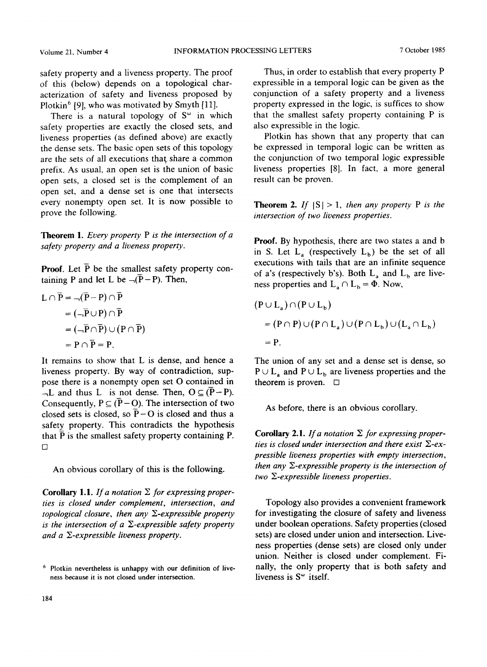safety property and a liveness property. The proof of this (below) depends on a topological characterization of safety and liveness proposed by Plotkin<sup>6</sup> [9], who was motivated by Smyth [11].

There is a natural topology of  $S^{\omega}$  in which safety properties are exactly the closed sets, and liveness properties (as defined above) are exactly the dense sets. The basic open sets of this topology are the sets of all executions that share a common prefix. As usual, an open set is the union of basic open sets, a closed set is the complement of an open set, and a dense set is one that intersects every nonempty open set. It is now possible to prove the following.

Theorem 1. *Every property P is the intersection of a safety property and a liveness property.* 

**Proof.** Let  $\bar{P}$  be the smallest safety property containing P and let L be  $\overline{\neg(P-P)}$ . Then,

$$
L \cap \overline{P} = \neg(\overline{P} - P) \cap \overline{P}
$$
  
=  $(\neg \overline{P} \cup P) \cap \overline{P}$   
=  $(\neg \overline{P} \cap \overline{P}) \cup (P \cap \overline{P})$   
=  $P \cap \overline{P} = P$ .

 $\mathbb{R}^2$ 

It remains to show that L is dense, and hence a liveness property. By way of contradiction, suppose there is a nonempty open set O contained in  $-L$  and thus L is not dense. Then,  $O \subseteq (\overline{P}-P)$ . Consequently,  $P \subseteq (\overline{P} - O)$ . The intersection of two closed sets is closed, so  $\bar{P}$  – O is closed and thus a safety property. This contradicts the hypothesis that  $\overline{P}$  is the smallest safety property containing P.  $\Box$ 

An obvious corollary of this is the following.

Corollary 1.1. If a notation  $\Sigma$  for expressing proper*ties is closed under complement, intersection, and topological closure, then any*  $\Sigma$ *-expressible property is the intersection of a*  $\Sigma$ *-expressible safety property and a Y~-expressible liveness property.* 

Thus, in order to establish that every property P expressible in a temporal logic can be given as the conjunction of a safety property and a liveness property expressed in the logic, is suffices to show that the smallest safety property containing P is also expressible in the logic.

Plotkin has shown that any property that can be expressed in temporal logic can be written as the conjunction of two temporal logic expressible liveness properties [8]. In fact, a more general result can be proven.

**Theorem 2.** If  $|S| > 1$ , then any property P is the *intersection of two liveness properties.* 

**Proof.** By hypothesis, there are two states a and b in S. Let  $L_a$  (respectively  $L_b$ ) be the set of all executions with tails that are an infinite sequence of a's (respectively b's). Both  $L_a$  and  $L_b$  are liveness properties and  $L_a \cap L_b = \Phi$ . Now,

$$
(P \cup L_a) \cap (P \cup L_b)
$$
  
= (P \cap P) \cup (P \cap L\_a) \cup (P \cap L\_b) \cup (L\_a \cap L\_b)  
= P.

The union of any set and a dense set is dense, so  $P \cup L_a$  and  $P \cup L_b$  are liveness properties and the theorem is proven.  $\square$ 

As before, there is an obvious corollary.

Corollary 2.1. If a notation  $\Sigma$  for expressing proper*ties is closed under intersection and there exist E-expressible liveness properties with empty intersection, then any*  $\Sigma$ *-expressible property is the intersection of two E-expressible liveness properties.* 

Topology also provides a convenient framework for investigating the closure of safety and liveness under boolean operations. Safety properties (closed sets) are closed under union and intersection. Liveness properties (dense sets) are closed only under union. Neither is closed under complement. Finally, the only property that is both safety and liveness is  $S^{\omega}$  itself.

<sup>6</sup> Plotkin nevertheless is unhappy with our definition of liveness because it is not closed under intersection.